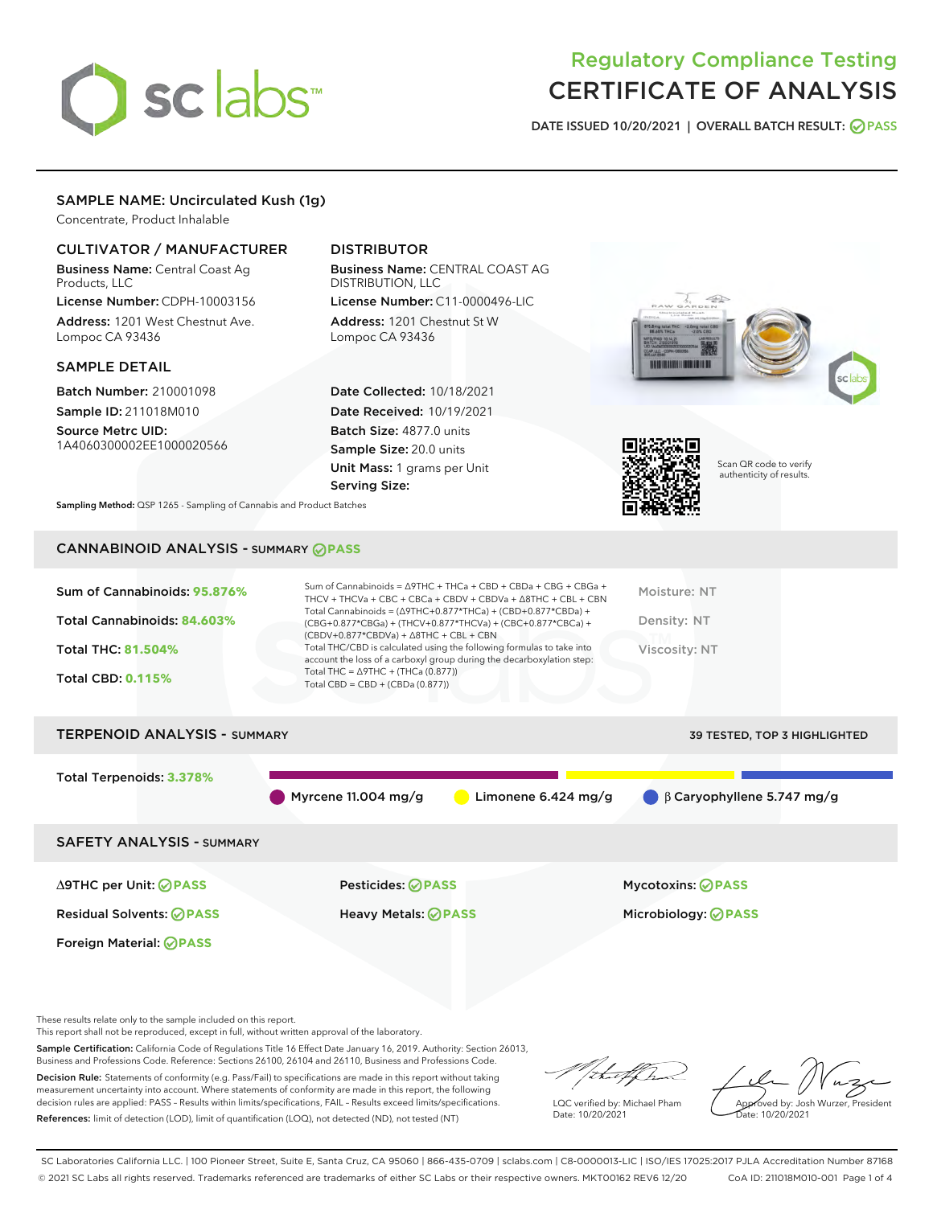# sclabs<sup>\*</sup>

## Regulatory Compliance Testing CERTIFICATE OF ANALYSIS

DATE ISSUED 10/20/2021 | OVERALL BATCH RESULT: @ PASS

#### SAMPLE NAME: Uncirculated Kush (1g)

Concentrate, Product Inhalable

#### CULTIVATOR / MANUFACTURER

Business Name: Central Coast Ag Products, LLC

License Number: CDPH-10003156 Address: 1201 West Chestnut Ave. Lompoc CA 93436

#### SAMPLE DETAIL

Batch Number: 210001098 Sample ID: 211018M010

Source Metrc UID: 1A4060300002EE1000020566

#### DISTRIBUTOR

Business Name: CENTRAL COAST AG DISTRIBUTION, LLC License Number: C11-0000496-LIC

Address: 1201 Chestnut St W Lompoc CA 93436

Date Collected: 10/18/2021 Date Received: 10/19/2021 Batch Size: 4877.0 units Sample Size: 20.0 units Unit Mass: 1 grams per Unit Serving Size:





Scan QR code to verify authenticity of results.

Sampling Method: QSP 1265 - Sampling of Cannabis and Product Batches

### CANNABINOID ANALYSIS - SUMMARY **PASS**

| Sum of Cannabinoids: 95.876%<br>Total Cannabinoids: 84.603%<br><b>Total THC: 81.504%</b><br><b>Total CBD: 0.115%</b> | Sum of Cannabinoids = $\triangle$ 9THC + THCa + CBD + CBDa + CBG + CBGa +<br>THCV + THCVa + CBC + CBCa + CBDV + CBDVa + $\land$ 8THC + CBL + CBN<br>Total Cannabinoids = $(\Delta$ 9THC+0.877*THCa) + (CBD+0.877*CBDa) +<br>(CBG+0.877*CBGa) + (THCV+0.877*THCVa) + (CBC+0.877*CBCa) +<br>$(CBDV+0.877*CBDVa) + \Delta 8THC + CBL + CBN$<br>Total THC/CBD is calculated using the following formulas to take into<br>account the loss of a carboxyl group during the decarboxylation step:<br>Total THC = $\triangle$ 9THC + (THCa (0.877))<br>Total CBD = $CBD + (CBDa (0.877))$ | Moisture: NT<br>Density: NT<br>Viscosity: NT |
|----------------------------------------------------------------------------------------------------------------------|-----------------------------------------------------------------------------------------------------------------------------------------------------------------------------------------------------------------------------------------------------------------------------------------------------------------------------------------------------------------------------------------------------------------------------------------------------------------------------------------------------------------------------------------------------------------------------------|----------------------------------------------|
| <b>TERPENOID ANALYSIS - SUMMARY</b>                                                                                  |                                                                                                                                                                                                                                                                                                                                                                                                                                                                                                                                                                                   | <b>39 TESTED, TOP 3 HIGHLIGHTED</b>          |
| Total Terpenoids: 3.378%                                                                                             | Myrcene 11.004 mg/g<br>Limonene $6.424$ mg/g                                                                                                                                                                                                                                                                                                                                                                                                                                                                                                                                      | $\bigcirc$ $\beta$ Caryophyllene 5.747 mg/g  |
| <b>SAFETY ANALYSIS - SUMMARY</b>                                                                                     |                                                                                                                                                                                                                                                                                                                                                                                                                                                                                                                                                                                   |                                              |
| $\triangle$ 9THC per Unit: $\oslash$ PASS                                                                            | Pesticides: ⊘PASS                                                                                                                                                                                                                                                                                                                                                                                                                                                                                                                                                                 | <b>Mycotoxins: ⊘PASS</b>                     |

Residual Solvents: **PASS** Heavy Metals: **PASS** Microbiology: **PASS**

These results relate only to the sample included on this report.

Foreign Material: **PASS**

This report shall not be reproduced, except in full, without written approval of the laboratory.

Sample Certification: California Code of Regulations Title 16 Effect Date January 16, 2019. Authority: Section 26013, Business and Professions Code. Reference: Sections 26100, 26104 and 26110, Business and Professions Code.

Decision Rule: Statements of conformity (e.g. Pass/Fail) to specifications are made in this report without taking measurement uncertainty into account. Where statements of conformity are made in this report, the following decision rules are applied: PASS – Results within limits/specifications, FAIL – Results exceed limits/specifications. References: limit of detection (LOD), limit of quantification (LOQ), not detected (ND), not tested (NT)

that f h

LQC verified by: Michael Pham Date: 10/20/2021

Approved by: Josh Wurzer, President Date: 10/20/2021

SC Laboratories California LLC. | 100 Pioneer Street, Suite E, Santa Cruz, CA 95060 | 866-435-0709 | sclabs.com | C8-0000013-LIC | ISO/IES 17025:2017 PJLA Accreditation Number 87168 © 2021 SC Labs all rights reserved. Trademarks referenced are trademarks of either SC Labs or their respective owners. MKT00162 REV6 12/20 CoA ID: 211018M010-001 Page 1 of 4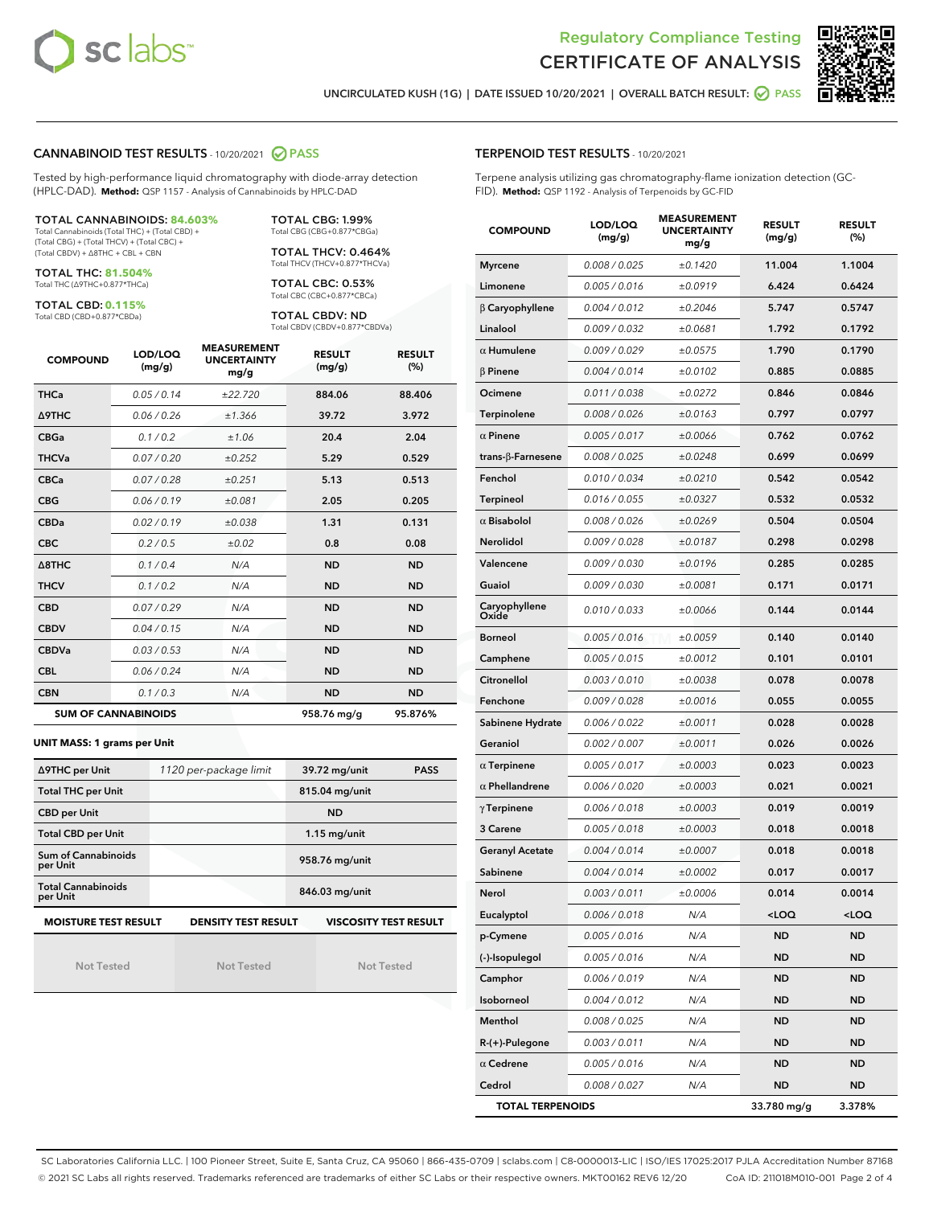



UNCIRCULATED KUSH (1G) | DATE ISSUED 10/20/2021 | OVERALL BATCH RESULT: @ PASS

#### CANNABINOID TEST RESULTS - 10/20/2021 2 PASS

Tested by high-performance liquid chromatography with diode-array detection (HPLC-DAD). **Method:** QSP 1157 - Analysis of Cannabinoids by HPLC-DAD

#### TOTAL CANNABINOIDS: **84.603%**

Total Cannabinoids (Total THC) + (Total CBD) + (Total CBG) + (Total THCV) + (Total CBC) + (Total CBDV) + ∆8THC + CBL + CBN

TOTAL THC: **81.504%** Total THC (∆9THC+0.877\*THCa)

TOTAL CBD: **0.115%** Total CBD (CBD+0.877\*CBDa)

TOTAL CBG: 1.99% Total CBG (CBG+0.877\*CBGa)

TOTAL THCV: 0.464% Total THCV (THCV+0.877\*THCVa)

TOTAL CBC: 0.53% Total CBC (CBC+0.877\*CBCa)

TOTAL CBDV: ND Total CBDV (CBDV+0.877\*CBDVa)

| <b>COMPOUND</b>  | LOD/LOQ<br>(mg/g)          | <b>MEASUREMENT</b><br><b>UNCERTAINTY</b><br>mg/g | <b>RESULT</b><br>(mg/g) | <b>RESULT</b><br>(%) |
|------------------|----------------------------|--------------------------------------------------|-------------------------|----------------------|
| <b>THCa</b>      | 0.05/0.14                  | ±22.720                                          | 884.06                  | 88.406               |
| <b>A9THC</b>     | 0.06 / 0.26                | ±1.366                                           | 39.72                   | 3.972                |
| <b>CBGa</b>      | 0.1 / 0.2                  | ±1.06                                            | 20.4                    | 2.04                 |
| <b>THCVa</b>     | 0.07/0.20                  | ±0.252                                           | 5.29                    | 0.529                |
| <b>CBCa</b>      | 0.07 / 0.28                | ±0.251                                           | 5.13                    | 0.513                |
| <b>CBG</b>       | 0.06/0.19                  | ±0.081                                           | 2.05                    | 0.205                |
| <b>CBDa</b>      | 0.02/0.19                  | ±0.038                                           | 1.31                    | 0.131                |
| <b>CBC</b>       | 0.2 / 0.5                  | ±0.02                                            | 0.8                     | 0.08                 |
| $\triangle$ 8THC | 0.1/0.4                    | N/A                                              | <b>ND</b>               | <b>ND</b>            |
| <b>THCV</b>      | 0.1 / 0.2                  | N/A                                              | <b>ND</b>               | <b>ND</b>            |
| <b>CBD</b>       | 0.07/0.29                  | N/A                                              | <b>ND</b>               | <b>ND</b>            |
| <b>CBDV</b>      | 0.04 / 0.15                | N/A                                              | <b>ND</b>               | <b>ND</b>            |
| <b>CBDVa</b>     | 0.03 / 0.53                | N/A                                              | <b>ND</b>               | <b>ND</b>            |
| <b>CBL</b>       | 0.06 / 0.24                | N/A                                              | <b>ND</b>               | <b>ND</b>            |
| <b>CBN</b>       | 0.1/0.3                    | N/A                                              | <b>ND</b>               | <b>ND</b>            |
|                  | <b>SUM OF CANNABINOIDS</b> |                                                  | 958.76 mg/g             | 95.876%              |

#### **UNIT MASS: 1 grams per Unit**

| ∆9THC per Unit                        | 1120 per-package limit     | 39.72 mg/unit<br><b>PASS</b> |  |  |
|---------------------------------------|----------------------------|------------------------------|--|--|
| <b>Total THC per Unit</b>             |                            | 815.04 mg/unit               |  |  |
| <b>CBD per Unit</b>                   |                            | <b>ND</b>                    |  |  |
| <b>Total CBD per Unit</b>             |                            | $1.15$ mg/unit               |  |  |
| Sum of Cannabinoids<br>per Unit       |                            | 958.76 mg/unit               |  |  |
| <b>Total Cannabinoids</b><br>per Unit |                            | 846.03 mg/unit               |  |  |
| <b>MOISTURE TEST RESULT</b>           | <b>DENSITY TEST RESULT</b> | <b>VISCOSITY TEST RESULT</b> |  |  |

Not Tested

Not Tested

Not Tested

#### TERPENOID TEST RESULTS - 10/20/2021

Terpene analysis utilizing gas chromatography-flame ionization detection (GC-FID). **Method:** QSP 1192 - Analysis of Terpenoids by GC-FID

| <b>COMPOUND</b>           | LOD/LOQ<br>(mg/g) | <b>MEASUREMENT</b><br><b>UNCERTAINTY</b><br>mg/g | <b>RESULT</b><br>(mg/g)                         | <b>RESULT</b><br>(%) |
|---------------------------|-------------------|--------------------------------------------------|-------------------------------------------------|----------------------|
| <b>Myrcene</b>            | 0.008 / 0.025     | ±0.1420                                          | 11.004                                          | 1.1004               |
| Limonene                  | 0.005 / 0.016     | ±0.0919                                          | 6.424                                           | 0.6424               |
| $\beta$ Caryophyllene     | 0.004 / 0.012     | ±0.2046                                          | 5.747                                           | 0.5747               |
| Linalool                  | 0.009 / 0.032     | ±0.0681                                          | 1.792                                           | 0.1792               |
| $\alpha$ Humulene         | 0.009/0.029       | ±0.0575                                          | 1.790                                           | 0.1790               |
| $\beta$ Pinene            | 0.004 / 0.014     | ±0.0102                                          | 0.885                                           | 0.0885               |
| Ocimene                   | 0.011 / 0.038     | ±0.0272                                          | 0.846                                           | 0.0846               |
| Terpinolene               | 0.008 / 0.026     | ±0.0163                                          | 0.797                                           | 0.0797               |
| $\alpha$ Pinene           | 0.005 / 0.017     | ±0.0066                                          | 0.762                                           | 0.0762               |
| trans- $\beta$ -Farnesene | 0.008 / 0.025     | ±0.0248                                          | 0.699                                           | 0.0699               |
| Fenchol                   | 0.010 / 0.034     | ±0.0210                                          | 0.542                                           | 0.0542               |
| Terpineol                 | 0.016 / 0.055     | ±0.0327                                          | 0.532                                           | 0.0532               |
| $\alpha$ Bisabolol        | 0.008 / 0.026     | ±0.0269                                          | 0.504                                           | 0.0504               |
| Nerolidol                 | 0.009 / 0.028     | ±0.0187                                          | 0.298                                           | 0.0298               |
| Valencene                 | 0.009 / 0.030     | ±0.0196                                          | 0.285                                           | 0.0285               |
| Guaiol                    | 0.009 / 0.030     | ±0.0081                                          | 0.171                                           | 0.0171               |
| Caryophyllene<br>Oxide    | 0.010 / 0.033     | ±0.0066                                          | 0.144                                           | 0.0144               |
| <b>Borneol</b>            | 0.005 / 0.016     | ±0.0059                                          | 0.140                                           | 0.0140               |
| Camphene                  | 0.005 / 0.015     | ±0.0012                                          | 0.101                                           | 0.0101               |
| Citronellol               | 0.003 / 0.010     | ±0.0038                                          | 0.078                                           | 0.0078               |
| Fenchone                  | 0.009 / 0.028     | ±0.0016                                          | 0.055                                           | 0.0055               |
| Sabinene Hydrate          | 0.006 / 0.022     | ±0.0011                                          | 0.028                                           | 0.0028               |
| Geraniol                  | 0.002 / 0.007     | ±0.0011                                          | 0.026                                           | 0.0026               |
| $\alpha$ Terpinene        | 0.005 / 0.017     | ±0.0003                                          | 0.023                                           | 0.0023               |
| $\alpha$ Phellandrene     | 0.006 / 0.020     | ±0.0003                                          | 0.021                                           | 0.0021               |
| $\gamma$ Terpinene        | 0.006 / 0.018     | ±0.0003                                          | 0.019                                           | 0.0019               |
| 3 Carene                  | 0.005 / 0.018     | ±0.0003                                          | 0.018                                           | 0.0018               |
| <b>Geranyl Acetate</b>    | 0.004 / 0.014     | ±0.0007                                          | 0.018                                           | 0.0018               |
| Sabinene                  | 0.004 / 0.014     | ±0.0002                                          | 0.017                                           | 0.0017               |
| Nerol                     | 0.003 / 0.011     | ±0.0006                                          | 0.014                                           | 0.0014               |
| Eucalyptol                | 0.006 / 0.018     | N/A                                              | <loq< th=""><th><loq< th=""></loq<></th></loq<> | <loq< th=""></loq<>  |
| p-Cymene                  | 0.005 / 0.016     | N/A                                              | ND                                              | <b>ND</b>            |
| (-)-Isopulegol            | 0.005 / 0.016     | N/A                                              | <b>ND</b>                                       | <b>ND</b>            |
| Camphor                   | 0.006 / 0.019     | N/A                                              | ND                                              | ND                   |
| Isoborneol                | 0.004 / 0.012     | N/A                                              | ND                                              | ND                   |
| Menthol                   | 0.008 / 0.025     | N/A                                              | <b>ND</b>                                       | <b>ND</b>            |
| $R-(+)$ -Pulegone         | 0.003 / 0.011     | N/A                                              | ND                                              | <b>ND</b>            |
| $\alpha$ Cedrene          | 0.005 / 0.016     | N/A                                              | <b>ND</b>                                       | <b>ND</b>            |
| Cedrol                    | 0.008 / 0.027     | N/A                                              | ND                                              | <b>ND</b>            |
| <b>TOTAL TERPENOIDS</b>   |                   |                                                  | 33.780 mg/g                                     | 3.378%               |

SC Laboratories California LLC. | 100 Pioneer Street, Suite E, Santa Cruz, CA 95060 | 866-435-0709 | sclabs.com | C8-0000013-LIC | ISO/IES 17025:2017 PJLA Accreditation Number 87168 © 2021 SC Labs all rights reserved. Trademarks referenced are trademarks of either SC Labs or their respective owners. MKT00162 REV6 12/20 CoA ID: 211018M010-001 Page 2 of 4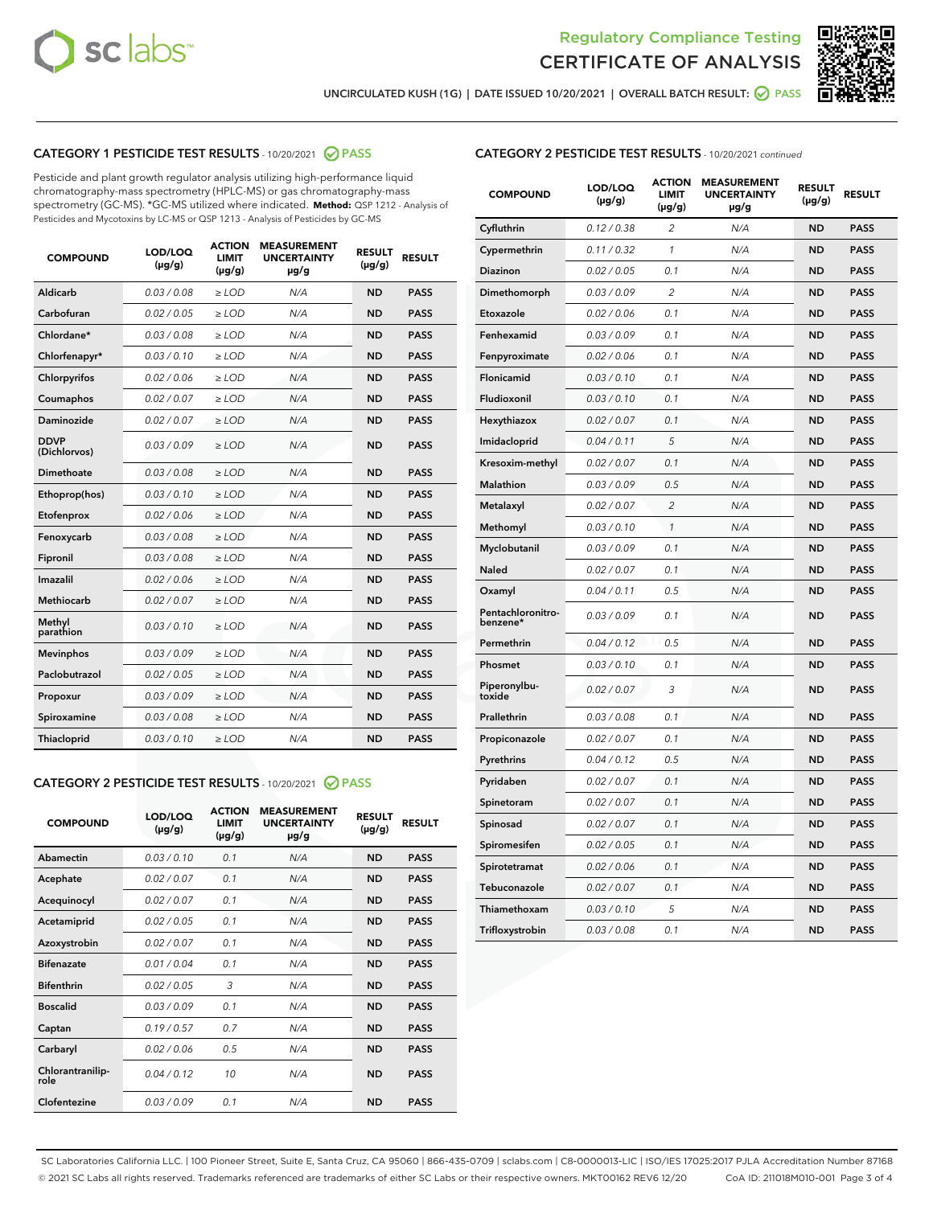



UNCIRCULATED KUSH (1G) | DATE ISSUED 10/20/2021 | OVERALL BATCH RESULT: @ PASS

#### CATEGORY 1 PESTICIDE TEST RESULTS - 10/20/2021 2 PASS

Pesticide and plant growth regulator analysis utilizing high-performance liquid chromatography-mass spectrometry (HPLC-MS) or gas chromatography-mass spectrometry (GC-MS). \*GC-MS utilized where indicated. **Method:** QSP 1212 - Analysis of Pesticides and Mycotoxins by LC-MS or QSP 1213 - Analysis of Pesticides by GC-MS

| <b>COMPOUND</b>             | LOD/LOQ<br>$(\mu g/g)$ | <b>ACTION</b><br>LIMIT<br>$(\mu g/g)$ | <b>MEASUREMENT</b><br><b>UNCERTAINTY</b><br>µg/g | <b>RESULT</b><br>$(\mu g/g)$ | <b>RESULT</b> |
|-----------------------------|------------------------|---------------------------------------|--------------------------------------------------|------------------------------|---------------|
| <b>Aldicarb</b>             | 0.03/0.08              | $\ge$ LOD                             | N/A                                              | <b>ND</b>                    | <b>PASS</b>   |
| Carbofuran                  | 0.02 / 0.05            | $>$ LOD                               | N/A                                              | <b>ND</b>                    | <b>PASS</b>   |
| Chlordane*                  | 0.03 / 0.08            | $\ge$ LOD                             | N/A                                              | <b>ND</b>                    | <b>PASS</b>   |
| Chlorfenapyr*               | 0.03/0.10              | $\geq$ LOD                            | N/A                                              | <b>ND</b>                    | <b>PASS</b>   |
| Chlorpyrifos                | 0.02 / 0.06            | $\ge$ LOD                             | N/A                                              | <b>ND</b>                    | <b>PASS</b>   |
| Coumaphos                   | 0.02 / 0.07            | $\ge$ LOD                             | N/A                                              | <b>ND</b>                    | <b>PASS</b>   |
| Daminozide                  | 0.02/0.07              | $>$ LOD                               | N/A                                              | <b>ND</b>                    | <b>PASS</b>   |
| <b>DDVP</b><br>(Dichlorvos) | 0.03/0.09              | $\geq$ LOD                            | N/A                                              | <b>ND</b>                    | <b>PASS</b>   |
| <b>Dimethoate</b>           | 0.03 / 0.08            | $\ge$ LOD                             | N/A                                              | <b>ND</b>                    | <b>PASS</b>   |
| Ethoprop(hos)               | 0.03/0.10              | $\geq$ LOD                            | N/A                                              | <b>ND</b>                    | <b>PASS</b>   |
| Etofenprox                  | 0.02/0.06              | $>$ LOD                               | N/A                                              | <b>ND</b>                    | <b>PASS</b>   |
| Fenoxycarb                  | 0.03 / 0.08            | $\geq$ LOD                            | N/A                                              | <b>ND</b>                    | <b>PASS</b>   |
| Fipronil                    | 0.03/0.08              | $\ge$ LOD                             | N/A                                              | <b>ND</b>                    | <b>PASS</b>   |
| Imazalil                    | 0.02 / 0.06            | $\ge$ LOD                             | N/A                                              | <b>ND</b>                    | <b>PASS</b>   |
| Methiocarb                  | 0.02 / 0.07            | $\ge$ LOD                             | N/A                                              | <b>ND</b>                    | <b>PASS</b>   |
| Methyl<br>parathion         | 0.03/0.10              | $\ge$ LOD                             | N/A                                              | <b>ND</b>                    | <b>PASS</b>   |
| <b>Mevinphos</b>            | 0.03/0.09              | $>$ LOD                               | N/A                                              | <b>ND</b>                    | <b>PASS</b>   |
| Paclobutrazol               | 0.02 / 0.05            | $\ge$ LOD                             | N/A                                              | <b>ND</b>                    | <b>PASS</b>   |
| Propoxur                    | 0.03/0.09              | $\ge$ LOD                             | N/A                                              | <b>ND</b>                    | <b>PASS</b>   |
| Spiroxamine                 | 0.03 / 0.08            | $\ge$ LOD                             | N/A                                              | <b>ND</b>                    | <b>PASS</b>   |
| Thiacloprid                 | 0.03/0.10              | $\geq$ LOD                            | N/A                                              | <b>ND</b>                    | <b>PASS</b>   |
|                             |                        |                                       |                                                  |                              |               |

#### CATEGORY 2 PESTICIDE TEST RESULTS - 10/20/2021 @ PASS

| <b>COMPOUND</b>          | LOD/LOO<br>$(\mu g/g)$ | <b>ACTION</b><br>LIMIT<br>$(\mu g/g)$ | <b>MEASUREMENT</b><br><b>UNCERTAINTY</b><br>$\mu$ g/g | <b>RESULT</b><br>$(\mu g/g)$ | <b>RESULT</b> |
|--------------------------|------------------------|---------------------------------------|-------------------------------------------------------|------------------------------|---------------|
| Abamectin                | 0.03/0.10              | 0.1                                   | N/A                                                   | <b>ND</b>                    | <b>PASS</b>   |
| Acephate                 | 0.02/0.07              | 0.1                                   | N/A                                                   | <b>ND</b>                    | <b>PASS</b>   |
| Acequinocyl              | 0.02/0.07              | 0.1                                   | N/A                                                   | <b>ND</b>                    | <b>PASS</b>   |
| Acetamiprid              | 0.02/0.05              | 0.1                                   | N/A                                                   | <b>ND</b>                    | <b>PASS</b>   |
| Azoxystrobin             | 0.02/0.07              | 0.1                                   | N/A                                                   | <b>ND</b>                    | <b>PASS</b>   |
| <b>Bifenazate</b>        | 0.01/0.04              | 0.1                                   | N/A                                                   | <b>ND</b>                    | <b>PASS</b>   |
| <b>Bifenthrin</b>        | 0.02 / 0.05            | 3                                     | N/A                                                   | <b>ND</b>                    | <b>PASS</b>   |
| <b>Boscalid</b>          | 0.03/0.09              | 0.1                                   | N/A                                                   | <b>ND</b>                    | <b>PASS</b>   |
| Captan                   | 0.19/0.57              | 0.7                                   | N/A                                                   | <b>ND</b>                    | <b>PASS</b>   |
| Carbaryl                 | 0.02/0.06              | 0.5                                   | N/A                                                   | <b>ND</b>                    | <b>PASS</b>   |
| Chlorantranilip-<br>role | 0.04/0.12              | 10                                    | N/A                                                   | <b>ND</b>                    | <b>PASS</b>   |
| Clofentezine             | 0.03/0.09              | 0.1                                   | N/A                                                   | <b>ND</b>                    | <b>PASS</b>   |

| <b>CATEGORY 2 PESTICIDE TEST RESULTS</b> - 10/20/2021 continued |  |  |
|-----------------------------------------------------------------|--|--|
|                                                                 |  |  |

| <b>COMPOUND</b>               | LOD/LOQ<br>$(\mu g/g)$ | <b>ACTION</b><br><b>LIMIT</b><br>(µg/g) | <b>MEASUREMENT</b><br><b>UNCERTAINTY</b><br>µg/g | <b>RESULT</b><br>$(\mu g/g)$ | <b>RESULT</b> |
|-------------------------------|------------------------|-----------------------------------------|--------------------------------------------------|------------------------------|---------------|
| Cyfluthrin                    | 0.12 / 0.38            | $\overline{2}$                          | N/A                                              | <b>ND</b>                    | <b>PASS</b>   |
| Cypermethrin                  | 0.11 / 0.32            | 1                                       | N/A                                              | <b>ND</b>                    | <b>PASS</b>   |
| Diazinon                      | 0.02 / 0.05            | 0.1                                     | N/A                                              | <b>ND</b>                    | <b>PASS</b>   |
| Dimethomorph                  | 0.03 / 0.09            | $\overline{2}$                          | N/A                                              | <b>ND</b>                    | <b>PASS</b>   |
| Etoxazole                     | 0.02 / 0.06            | 0.1                                     | N/A                                              | <b>ND</b>                    | <b>PASS</b>   |
| Fenhexamid                    | 0.03 / 0.09            | 0.1                                     | N/A                                              | <b>ND</b>                    | <b>PASS</b>   |
| Fenpyroximate                 | 0.02 / 0.06            | 0.1                                     | N/A                                              | <b>ND</b>                    | <b>PASS</b>   |
| Flonicamid                    | 0.03 / 0.10            | 0.1                                     | N/A                                              | <b>ND</b>                    | <b>PASS</b>   |
| Fludioxonil                   | 0.03 / 0.10            | 0.1                                     | N/A                                              | <b>ND</b>                    | <b>PASS</b>   |
| Hexythiazox                   | 0.02 / 0.07            | 0.1                                     | N/A                                              | <b>ND</b>                    | <b>PASS</b>   |
| Imidacloprid                  | 0.04 / 0.11            | 5                                       | N/A                                              | <b>ND</b>                    | <b>PASS</b>   |
| Kresoxim-methyl               | 0.02 / 0.07            | 0.1                                     | N/A                                              | <b>ND</b>                    | <b>PASS</b>   |
| <b>Malathion</b>              | 0.03 / 0.09            | 0.5                                     | N/A                                              | <b>ND</b>                    | <b>PASS</b>   |
| Metalaxyl                     | 0.02 / 0.07            | $\overline{c}$                          | N/A                                              | <b>ND</b>                    | <b>PASS</b>   |
| Methomyl                      | 0.03 / 0.10            | $\mathcal{I}$                           | N/A                                              | <b>ND</b>                    | <b>PASS</b>   |
| Myclobutanil                  | 0.03/0.09              | 0.1                                     | N/A                                              | <b>ND</b>                    | <b>PASS</b>   |
| Naled                         | 0.02 / 0.07            | 0.1                                     | N/A                                              | <b>ND</b>                    | <b>PASS</b>   |
| Oxamyl                        | 0.04 / 0.11            | 0.5                                     | N/A                                              | <b>ND</b>                    | <b>PASS</b>   |
| Pentachloronitro-<br>benzene* | 0.03 / 0.09            | 0.1                                     | N/A                                              | <b>ND</b>                    | <b>PASS</b>   |
| Permethrin                    | 0.04 / 0.12            | 0.5                                     | N/A                                              | <b>ND</b>                    | <b>PASS</b>   |
| Phosmet                       | 0.03 / 0.10            | 0.1                                     | N/A                                              | <b>ND</b>                    | <b>PASS</b>   |
| Piperonylbu-<br>toxide        | 0.02 / 0.07            | 3                                       | N/A                                              | <b>ND</b>                    | <b>PASS</b>   |
| Prallethrin                   | 0.03 / 0.08            | 0.1                                     | N/A                                              | <b>ND</b>                    | <b>PASS</b>   |
| Propiconazole                 | 0.02 / 0.07            | 0.1                                     | N/A                                              | <b>ND</b>                    | <b>PASS</b>   |
| Pyrethrins                    | 0.04 / 0.12            | 0.5                                     | N/A                                              | <b>ND</b>                    | <b>PASS</b>   |
| Pyridaben                     | 0.02 / 0.07            | 0.1                                     | N/A                                              | <b>ND</b>                    | <b>PASS</b>   |
| Spinetoram                    | 0.02 / 0.07            | 0.1                                     | N/A                                              | <b>ND</b>                    | <b>PASS</b>   |
| Spinosad                      | 0.02 / 0.07            | 0.1                                     | N/A                                              | <b>ND</b>                    | <b>PASS</b>   |
| Spiromesifen                  | 0.02 / 0.05            | 0.1                                     | N/A                                              | <b>ND</b>                    | <b>PASS</b>   |
| Spirotetramat                 | 0.02 / 0.06            | 0.1                                     | N/A                                              | ND                           | <b>PASS</b>   |
| Tebuconazole                  | 0.02 / 0.07            | 0.1                                     | N/A                                              | <b>ND</b>                    | <b>PASS</b>   |
| Thiamethoxam                  | 0.03 / 0.10            | 5                                       | N/A                                              | <b>ND</b>                    | <b>PASS</b>   |
| Trifloxystrobin               | 0.03 / 0.08            | 0.1                                     | N/A                                              | ND                           | <b>PASS</b>   |

SC Laboratories California LLC. | 100 Pioneer Street, Suite E, Santa Cruz, CA 95060 | 866-435-0709 | sclabs.com | C8-0000013-LIC | ISO/IES 17025:2017 PJLA Accreditation Number 87168 © 2021 SC Labs all rights reserved. Trademarks referenced are trademarks of either SC Labs or their respective owners. MKT00162 REV6 12/20 CoA ID: 211018M010-001 Page 3 of 4